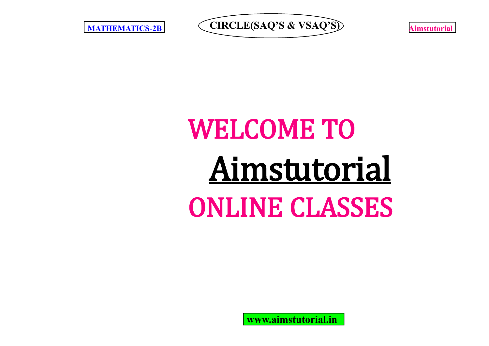**MATHEMATICS-2B** CIRCLE(SAQ'S & VSAQ'S) **Aimstutorial** 

# WELCOME TO Aimstutorial ONLINE CLASSES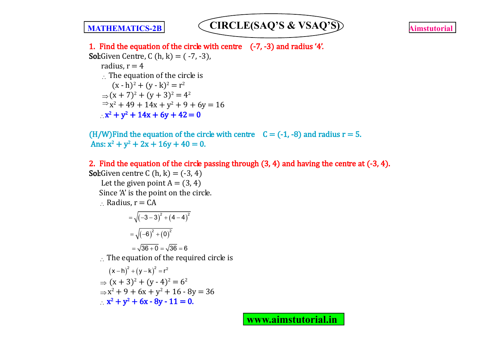

1. Find the equation of the circle with centre (-7, -3) and radius '4'. **Sol:**Given Centre, C  $(h, k) = (-7, -3)$ , radius,  $r = 4$  $\therefore$  The equation of the circle is  $(x - h)^2 + (y - k)^2 = r^2$  $\Rightarrow$   $(x + 7)^2 + (y + 3)^2 = 4^2$  $\Rightarrow$  x<sup>2</sup> + 49 + 14x + y<sup>2</sup> + 9 + 6y = 16  $x^2 + y^2 + 14x + 6y + 42 = 0$ 

(H/W)Find the equation of the circle with centre  $C = (-1, -8)$  and radius  $r = 5$ . Ans:  $x^2 + y^2 + 2x + 16y + 40 = 0$ .

2. Find the equation of the circle passing through (3, 4) and having the centre at (-3, 4). **Sol:**Given centre C  $(h, k) = (-3, 4)$ Let the given point  $A = (3, 4)$ Since 'A' is the point on the circle.  $\therefore$  Radius,  $r = CA$  $=\sqrt{(-3-3)^2+(4-4)^2}$  $=\sqrt{(-6)^2+(0)^2}$  $= \sqrt{36+0} = \sqrt{36} = 6$  $\therefore$  The equation of the required circle is  $(x-h)^{2} + (y-k)^{2} = r^{2}$  $\Rightarrow$   $(x + 3)^2 + (y - 4)^2 = 6^2$ 

 $\Rightarrow$ x<sup>2</sup> + 9 + 6x + y<sup>2</sup> + 16 - 8y = 36  $x^2 + y^2 + 6x - 8y - 11 = 0.$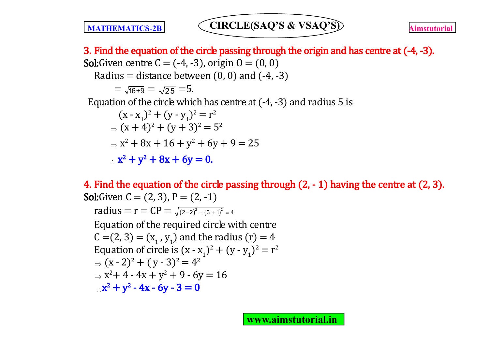3. Find the equation of the circle passing through the origin and has centre at  $(-4, -3)$ . **Sol:**Given centre  $C = (-4, -3)$ , origin  $O = (0, 0)$ Radius = distance between  $(0, 0)$  and  $(-4, -3)$  $= \sqrt{16+9} = \sqrt{25} = 5.$ Equation of the circle which has centre at  $(-4, -3)$  and radius 5 is  $(x - x_1)^2 + (y - y_1)^2 = r^2$  $\Rightarrow$   $(x+4)^2 + (y+3)^2 = 5^2$  $\Rightarrow$  x<sup>2</sup> + 8x + 16 + y<sup>2</sup> + 6y + 9 = 25  $x^2 + y^2 + 8x + 6y = 0.$ 

4. Find the equation of the circle passing through  $(2, -1)$  having the centre at  $(2, 3)$ . **Sol:**Given  $C = (2, 3)$ ,  $P = (2, -1)$ radius =  $r = CP = \sqrt{(2-2)^2 + (3+1)^2} = 4$ Equation of the required circle with centre  $C = (2, 3) = (x_1, y_1)$  and the radius  $(r) = 4$ Equation of circle is  $(x - x_1)^2 + (y - y_1)^2 = r^2$  $\Rightarrow$   $(x - 2)^2 + (y - 3)^2 = 4^2$  $\Rightarrow$  x<sup>2</sup>+4 - 4x + y<sup>2</sup> + 9 - 6y = 16  $x^2 + y^2 - 4x - 6y - 3 = 0$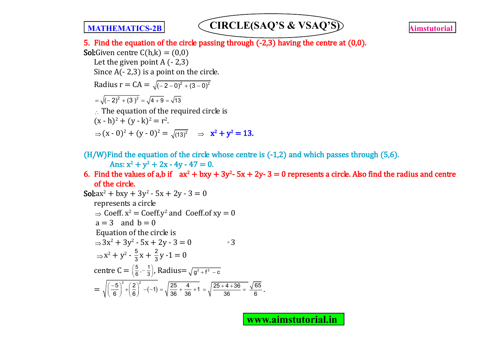

5. Find the equation of the circle passing through  $(-2,3)$  having the centre at  $(0,0)$ . **Sol:**Given centre  $C(h,k) = (0,0)$ Let the given point  $A(-2,3)$ Since  $A(-2,3)$  is a point on the circle. Radius  $r = CA = \sqrt{(-2-0)^2 + (3-0)^2}$  $=\sqrt{(-2)^2+(3)^2}=\sqrt{4+9}=\sqrt{13}$  $\therefore$  The equation of the required circle is  $(x - h)^2 + (y - k)^2 = r^2$ .  $\Rightarrow$   $(x - 0)^2 + (y - 0)^2 = \sqrt{(13)^2} \Rightarrow x^2 + y^2 = 13.$ 

 $(H/W)$ Find the equation of the circle whose centre is  $(-1,2)$  and which passes through  $(5,6)$ .

Ans:  $x^2 + y^2 + 2x - 4y - 47 = 0$ .

6. Find the values of a,b if  $ax^2 + bxy + 3y^2 - 5x + 2y - 3 = 0$  represents a circle. Also find the radius and centre of the circle.

**Sol**:
$$
ax^2 + bxy + 3y^2 - 5x + 2y - 3 = 0
$$
  
represents a circle  
 $\Rightarrow$  Coeff.  $x^2 =$  Coeff.  $y^2$  and Coeff. of  $xy = 0$   
 $a = 3$  and  $b = 0$   
Equation of the circle is  
 $\Rightarrow 3x^2 + 3y^2 - 5x + 2y - 3 = 0$   $\Rightarrow$  3  
 $\Rightarrow x^2 + y^2 - \frac{5}{3}x + \frac{2}{3}y - 1 = 0$   
centre  $C = \left(\frac{5}{6}, -\frac{1}{3}\right)$ , Radius  $= \sqrt{g^2 + f^2 - c}$   
 $= \sqrt{\left(\frac{-5}{6}\right)^2 + \left(\frac{2}{6}\right)^2 - (-1)} = \sqrt{\frac{25}{36} + \frac{4}{36} + 1} = \sqrt{\frac{25 + 4 + 36}{36}} = \frac{\sqrt{65}}{6}$ .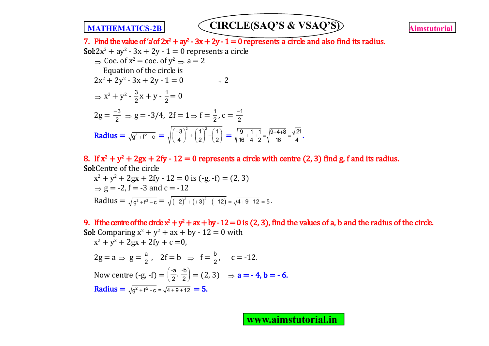

7. Find the value of 'a'of  $2x^2 + ay^2 - 3x + 2y - 1 = 0$  represents a circle and also find its radius.

**Sol:** 2x<sup>2</sup> + ay<sup>2</sup> - 3x + 2y - 1 = 0 represents a circle  
\n⇒ Coe. of x<sup>2</sup> = coe. of y<sup>2</sup> ⇒ a = 2  
\nEquation of the circle is  
\n2x<sup>2</sup> + 2y<sup>2</sup> - 3x + 2y - 1 = 0 ÷ 2  
\n⇒ x<sup>2</sup> + y<sup>2</sup> - 
$$
\frac{3}{2}
$$
x + y -  $\frac{1}{2}$  = 0  
\n2g =  $\frac{-3}{2}$  ⇒ g = -3/4, 2f = 1 ⇒ f =  $\frac{1}{2}$ , c =  $\frac{-1}{2}$   
\nRadius =  $\sqrt{g^2 + f^2 - c}$  =  $\sqrt{\left(\frac{-3}{4}\right)^2 + \left(\frac{1}{2}\right)^2 - \left(\frac{1}{2}\right)}$  =  $\sqrt{\frac{9}{16} + \frac{1}{4} + \frac{1}{2}} = \sqrt{\frac{9+4+8}{16}} = \frac{\sqrt{21}}{4}$ .

8. If  $x^2 + y^2 + 2gx + 2fy - 12 = 0$  represents a circle with centre (2, 3) find g, f and its radius. Sol:Centre of the circle

$$
x^{2} + y^{2} + 2gx + 2fy - 12 = 0 \text{ is } (-g, -f) = (2, 3)
$$
  
\n
$$
\Rightarrow g = -2, f = -3 \text{ and } c = -12
$$
  
\nRadius =  $\sqrt{g^{2} + f^{2} - c} = \sqrt{(-2)^{2} + (+3)^{2} - (-12)} = \sqrt{4 + 9 + 12} = 5.$ 

9. If the centre of the circle  $x^2 + y^2 + ax + by - 12 = 0$  is (2, 3), find the values of a, b and the radius of the circle. **Sol:** Comparing  $x^2 + y^2 + ax + by - 12 = 0$  with  $x^2 + y^2 + 2gx + 2fy + c = 0$ ,  $2g = a \Rightarrow g = \frac{a}{2}$  $\frac{a}{2}$ , 2f = b  $\Rightarrow$  f =  $\frac{b}{2}$ , c = -12. Now centre  $(-g, -f) = \left(\frac{-a}{2}, \frac{-b}{2}\right) = (2, 3) \Rightarrow a = -4, b = -6.$ Radius =  $\sqrt{q^2 + f^2 - c} = \sqrt{4 + 9 + 12} = 5$ .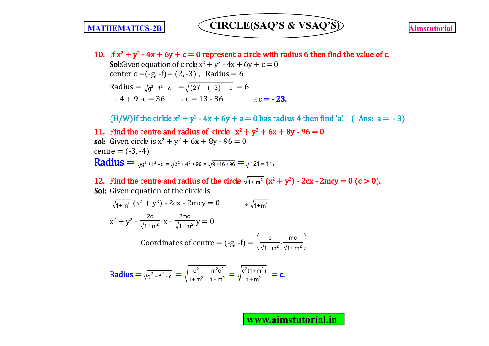10. If  $x^2 + y^2 - 4x + 6y + c = 0$  represent a circle with radius 6 then find the value of c.

**Sol:**Given equation of circle  $x^2 + y^2 - 4x + 6y + c = 0$ center  $c = (-g, -f) = (2, -3)$ , Radius = 6 Radius =  $\sqrt{g^2 + f^2 - c}$  =  $\sqrt{(2)^2 + (-3)^2 - c}$  = 6  $\Rightarrow$  4 + 9 -c = 36  $\Rightarrow$  c = 13 - 36 c = - 23.

(H/W)If the cirkle  $x^2 + y^2 - 4x + 6y + a = 0$  has radius 4 then find 'a'. ( Ans:  $a = -3$ )

11. Find the centre and radius of circle  $x^2 + y^2 + 6x + 8y - 96 = 0$ **sol:** Given circle is  $x^2 + y^2 + 6x + 8y - 96 = 0$  $centre = (-3, -4)$ **Radius** =  $\sqrt{g^2 + f^2 - c} = \sqrt{3^2 + 4^2 + 96} = \sqrt{9 + 16 + 96} = \sqrt{121} = 11$ .

12. Find the centre and radius of the circle  $\sqrt{1+m^2(x^2+y^2)}$  - 2cx - 2mcy = 0 (c > 0). Sol: Given equation of the circle is

$$
\sqrt{1+m^2} (x^2 + y^2) - 2cx - 2mcy = 0 \qquad \div \sqrt{1+m^2}
$$
  

$$
x^2 + y^2 - \frac{2c}{\sqrt{1+m^2}} x - \frac{2mc}{\sqrt{1+m^2}} y = 0
$$
  
Coordinates of centre = (-g, -f) =  $\left(\frac{c}{\sqrt{1+m^2}}, \frac{mc}{\sqrt{1+m^2}}\right)$ 

**Radius** = 
$$
\sqrt{g^2 + f^2 - c}
$$
 =  $\sqrt{\frac{c^2}{1 + m^2} + \frac{m^2 c^2}{1 + m^2}}$  =  $\sqrt{\frac{c^2 (1 + m^2)}{1 + m^2}}$  = c.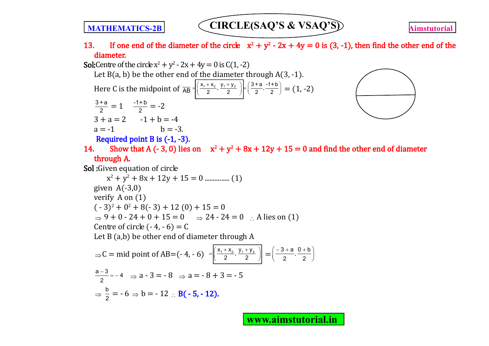### 13. If one end of the diameter of the circle  $x^2 + y^2 - 2x + 4y = 0$  is (3, -1), then find the other end of the diameter.

**Sol:**Centre of the circle  $x^2 + y^2 - 2x + 4y = 0$  is C(1, -2) Let  $B(a, b)$  be the other end of the diameter through  $A(3, -1)$ . Here C is the midpoint of  $\frac{1}{AB} = \left( \frac{x_1 + x_2}{2}, \frac{y_1 + y_2}{2} \right) \in \left( \frac{3+a}{2}, \frac{-1+b}{2} \right) = (1, -2)$ 3 + a  $\frac{+a}{2} = 1$   $\frac{-1+b}{2} = -2$  $3 + a = 2 -1 + b = -4$  $a = -1$   $h = -3$ . Required point B is (-1, -3). 14. Show that A (- 3, 0) lies on  $x^2 + y^2 + 8x + 12y + 15 = 0$  and find the other end of diameter through A. Sol: Given equation of circle x<sup>2</sup> + y<sup>2</sup> + 8x + 12y + 15 = 0 ............... (1) given  $A(-3,0)$ verify A on (1)  $(-3)^2 + 0^2 + 8(-3) + 12(0) + 15 = 0$  $\Rightarrow$  9 + 0 - 24 + 0 + 15 = 0  $\Rightarrow$  24 - 24 = 0  $\cdot$  A lies on (1) Centre of circle  $(-4, -6) = C$ Let B (a,b) be other end of diameter through A ⇒ C = mid point of AB=(- 4, - 6)  $= \left| \frac{x_1 + x_2}{2}, \frac{y_1 + y_2}{2} \right| = \left( \frac{-3 + a}{2}, \frac{0 + b}{2} \right)$ 2 2  $\frac{a-3}{a} = -4$  $\frac{13}{2}$  = -4  $\Rightarrow$  a - 3 = - 8  $\Rightarrow$  a = - 8 + 3 = - 5  $\Rightarrow \frac{b}{2}$  $\frac{b}{2}$  = - 6  $\Rightarrow$  b = - 12  $\therefore$  B( - 5, - 12).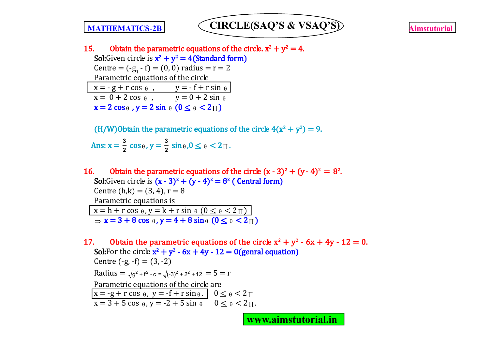

15. Obtain the parametric equations of the circle.  $x^2 + y^2 = 4$ . **Sol:**Given circle is  $x^2 + y^2 = 4$  (**Standard form**) Centre =  $(-g_1 - f) = (0, 0)$  radius = r = 2 Parametric equations of the circle  $x = -g + r \cos \theta$ ,  $y = -f + r \sin \theta$  $x = 0 + 2 \cos \theta$ ,  $y = 0 + 2 \sin \theta$  $x = 2 \cos \theta$ ,  $y = 2 \sin \theta$   $(0 \le \theta \le 2\pi)$ 

(H/W)Obtain the parametric equations of the circle  $4(x^2 + y^2) = 9$ . Ans:  $x = \frac{3}{2} \cos \theta$ ,  $y = \frac{3}{2}$  $\frac{3}{2} \sin \theta$ ,  $0 \le \theta \le 2 \pi$ .

16. Obtain the parametric equations of the circle  $(x - 3)^2 + (y - 4)^2 = 8^2$ . Sol:Given circle is  $(x - 3)^2 + (y - 4)^2 = 8^2$  (Central form) Centre  $(h,k) = (3, 4)$ ,  $r = 8$ Parametric equations is  $x = h + r \cos \theta$ ,  $y = k + r \sin \theta$   $(0 \le \theta \le 2\pi)$  $\Rightarrow x = 3 + 8 \cos \theta$ ,  $y = 4 + 8 \sin \theta$  ( $0 \le \theta < 2\pi$ )

17. Obtain the parametric equations of the circle  $x^2 + y^2 - 6x + 4y - 12 = 0$ . Sol: For the circle  $x^2 + y^2 - 6x + 4y - 12 = 0$  (genral equation) Centre  $(-g, -f) = (3, -2)$ Radius =  $\sqrt{a^2 + f^2 - c} = \sqrt{(-3)^2 + 2^2 + 12} = 5 = r$ Parametric equations of the circle are  $x = -g + r \cos \theta$ ,  $y = -f + r \sin \theta$ .  $0 \le \theta \le 2\pi$  $x = 3 + 5 \cos \theta$ ,  $y = -2 + 5 \sin \theta$   $0 \le \theta \le 2 \pi$ .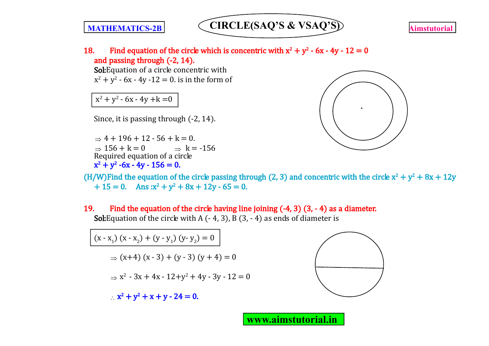

18. Find equation of the circle which is concentric with  $x^2 + y^2 - 6x - 4y - 12 = 0$ and passing through (-2, 14).

Sol: Equation of a circle concentric with  $x^2 + y^2$  - 6x - 4y -12 = 0. is in the form of

### $x^2 + y^2 - 6x - 4y + k = 0$

Since, it is passing through (-2, 14).

 $\Rightarrow$  4 + 196 + 12 - 56 + k = 0.  $\Rightarrow$  156 + k = 0  $\Rightarrow$  k = -156 Required equation of a circle  $x^2 + y^2$  -6x - 4y - 156 = 0.



(H/W)Find the equation of the circle passing through (2, 3) and concentric with the circle  $x^2 + y^2 + 8x + 12y$  $+ 15 = 0$ . Ans : $x^2 + y^2 + 8x + 12y - 65 = 0$ .

19. Find the equation of the circle having line joining  $(-4, 3)$   $(3, -4)$  as a diameter. **Sol:**Equation of the circle with A  $(-4, 3)$ , B  $(3, -4)$  as ends of diameter is

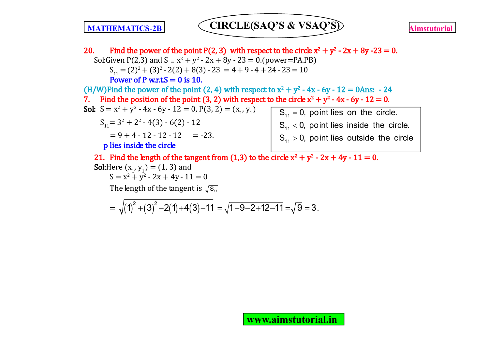20. Find the power of the point P(2, 3) with respect to the circle  $x^2 + y^2 - 2x + 8y - 23 = 0$ . Sol:Given P(2,3) and  $S = x^2 + y^2 - 2x + 8y - 23 = 0$ .(power=PA.PB)  $S_{11} = (2)^2 + (3)^2 - 2(2) + 8(3) - 23 = 4 + 9 - 4 + 24 - 23 = 10$ Power of P w.r.t. $S = 0$  is 10. (H/W)Find the power of the point (2, 4) with respect to  $x^2 + y^2 - 4x - 6y - 12 = 0$ Ans:  $-24$ 7. Find the position of the point (3, 2) with respect to the circle  $x^2 + y^2 - 4x - 6y - 12 = 0$ . **Sol:**  $S = x^2 + y^2 - 4x - 6y - 12 = 0$ ,  $P(3, 2) = (x_1, y_1)$  $S_{11} = 3^2 + 2^2 - 4(3) - 6(2) - 12$  $= 9 + 4 - 12 - 12 - 12$  = -23. p lies inside the circle 21. Find the length of the tangent from (1,3) to the circle  $x^2 + y^2 - 2x + 4y - 11 = 0$ .  $S_{11} = 0$ , point lies on the circle.  $S_{11}$  < 0, point lies inside the circle.  $S_{11}$  > 0, point lies outside the circle

**Sol**:Here 
$$
(x_1, y_1) = (1, 3)
$$
 and

 $S = x^2 + y^2 - 2x + 4y - 11 = 0$ 

The length of the tangent is  $\sqrt{s_{11}}$ 

$$
=\sqrt{\left(1\right)^{2}+\left(3\right)^{2}-2(1)+4(3)-11}=\sqrt{1+9-2+12-11}=\sqrt{9}=3\,.
$$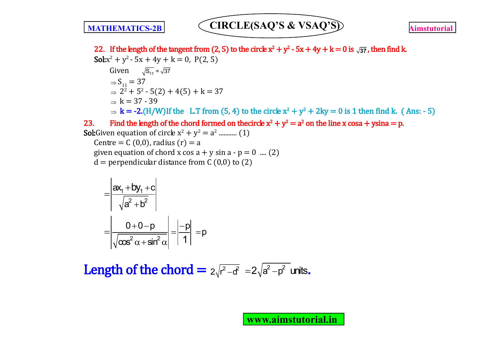23. Find the length of the chord formed on thecircle  $x^2 + y^2 = a^2$  on the line x cosa + ysina = p. **Sol:**Given equation of circle  $x^2 + y^2 = a^2$  ............ (1) Centre =  $C(0,0)$ , radius  $(r) = a$ given equation of chord x cos  $a + y \sin a - p = 0$  .... (2)  $d =$  perpendicular distance from C (0,0) to (2) 22. If the length of the tangent from (2, 5) to the circle  $x^2 + y^2 - 5x + 4y + k = 0$  is  $\sqrt{37}$ , then find k.  $S$ ol: $x^2 + y^2 - 5x + 4y + k = 0$ , P(2, 5) Given  $\sqrt{S_{11}} = \sqrt{37}$  $\Rightarrow S_{11} = 37$  $\Rightarrow$  2<sup>2</sup> + 5<sup>2</sup> - 5(2) + 4(5) + k = 37  $\rightarrow k = 37 - 39$  $\Rightarrow$  k = -2.(H/W)If the L.T from (5, 4) to the circle  $x^2 + y^2 + 2ky = 0$  is 1 then find k. (Ans: - 5)

$$
=\frac{\left|\frac{ax_1+by_1+c}{\sqrt{a^2+b^2}}\right|}{\left|\frac{0+0-p}{\sqrt{\cos^2\alpha+\sin^2\alpha}}\right|}=\left|\frac{-p}{1}\right|=p
$$

**Length of the chord =**  $2\sqrt{r^2-d^2}$  =  $2\sqrt{a^2-p^2}$  units.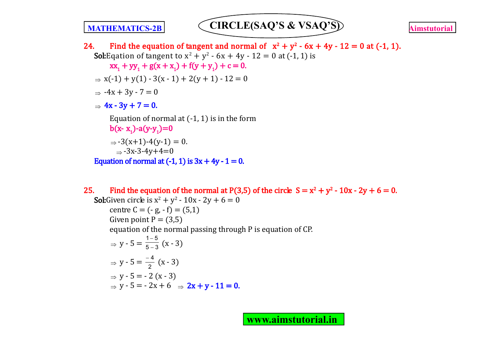24. Find the equation of tangent and normal of  $x^2 + y^2 - 6x + 4y - 12 = 0$  at (-1, 1). **Sol:**Eqation of tangent to  $x^2 + y^2 - 6x + 4y - 12 = 0$  at (-1, 1) is  $xx_1 + yy_1 + g(x + x_1) + f(y + y_1) + c = 0.$  $x(-1) + y(1) - 3(x - 1) + 2(y + 1) - 12 = 0$  $\Rightarrow$  -4x + 3y - 7 = 0  $\Rightarrow$  4x - 3y + 7 = 0. Equation of normal at  $(-1, 1)$  is in the form b(x- x<sub>1</sub>)-a(y-y<sub>1</sub>)=0  $\Rightarrow$  -3(x+1)-4(y-1) = 0.  $\Rightarrow$  -3x-3-4y+4=0 Equation of normal at  $(-1, 1)$  is  $3x + 4y - 1 = 0$ .

25. Find the equation of the normal at P(3,5) of the circle  $S = x^2 + y^2 - 10x - 2y + 6 = 0$ . **Sol:**Given circle is  $x^2 + y^2 - 10x - 2y + 6 = 0$ centre  $C = (-g, -f) = (5,1)$ Given point  $P = (3,5)$ equation of the normal passing through P is equation of CP.  $\Rightarrow$  y - 5 =  $\frac{1-5}{5-3}$  $5 - 3$  $\overline{a}$  $\frac{1}{-3}(x-3)$  $\Rightarrow$  y - 5 =  $\frac{-4}{2}$  $\frac{-4}{2}$  (x - 3)  $\Rightarrow$  v - 5 = - 2 (x - 3)  $\Rightarrow$  y - 5 = - 2x + 6  $\Rightarrow$  2x + y - 11 = 0.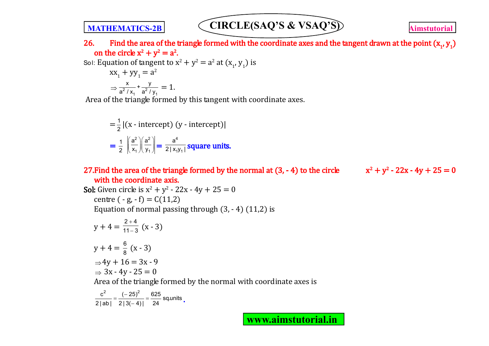26. Find the area of the triangle formed with the coordinate axes and the tangent drawn at the point  $(x_1, y_1)$ on the circle  $x^2 + y^2 = a^2$ .

Sol: Equation of tangent to  $x^2 + y^2 = a^2$  at  $(x_1, y_1)$  is

$$
xx1 + yy1 = a2
$$
  
\n
$$
\Rightarrow \frac{x}{a^{2}/x_{1}} + \frac{y}{a^{2}/y_{1}} = 1.
$$

Area of the triangle formed by this tangent with coordinate axes.

$$
= \frac{1}{2} |(\mathbf{x} - \text{intercept}) (\mathbf{y} - \text{intercept})|
$$

$$
= \frac{1}{2} \left| \left( \frac{\mathbf{a}^2}{\mathbf{x}_1} \right) \left( \frac{\mathbf{a}^2}{\mathbf{y}_1} \right) \right| = \frac{\mathbf{a}^4}{2 \mid \mathbf{x}_1 \mathbf{y}_1 \mid} \text{square units.}
$$

### 27. Find the area of the triangle formed by the normal at  $(3, -4)$  to the circle with the coordinate axis.

$$
x^2 + y^2 - 22x - 4y + 25 = 0
$$

**Sol:** Given circle is  $x^2 + y^2 - 22x - 4y + 25 = 0$ centre  $(-g, -f) = C(11,2)$ Equation of normal passing through  $(3, -4)$   $(11,2)$  is

$$
y + 4 = \frac{2+4}{11-3} (x-3)
$$
  
\n
$$
y + 4 = \frac{6}{8} (x-3)
$$
  
\n
$$
\Rightarrow 4y + 16 = 3x - 9
$$
  
\n
$$
\Rightarrow 3x - 4y - 25 = 0
$$
  
\nArea of the triangle formed by the normal with coordinate axes is

$$
\frac{c^2}{2|\text{ab}|} = \frac{(-25)^2}{2|3(-4)|} = \frac{625}{24} \text{ sq.units}.
$$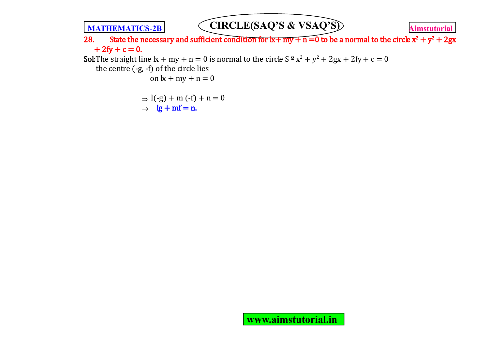

28. State the necessary and sufficient condition for  $x+my+n=0$  to be a normal to the circle  $x^2 + y^2 + 2gx$  $+ 2fy + c = 0.$ 

**Sol:**The straight line  $x + my + n = 0$  is normal to the circle  $S^{\circ}x^2 + y^2 + 2gx + 2fy + c = 0$ 

the centre (-g, -f) of the circle lies

on  $k + my + n = 0$ 

$$
\Rightarrow l(-g) + m(-f) + n = 0
$$
  
\n
$$
\Rightarrow \quad \frac{lg + mf}{=} n.
$$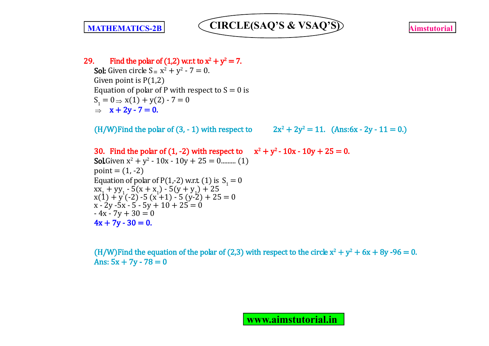

### 29. Find the polar of  $(1,2)$  w.r.t to  $x^2 + y^2 = 7$ .

**Sol:** Given circle  $S = x^2 + y^2 - 7 = 0$ . Given point is P(1,2) Equation of polar of P with respect to  $S = 0$  is  $S_1 = 0 \Rightarrow x(1) + y(2) - 7 = 0$  $\Rightarrow$  x + 2y - 7 = 0.

 $(H/W)$ Find the polar of  $(3, -1)$  with respect to

 $+ 2y^2 = 11.$  (Ans:6x - 2y - 11 = 0.)

30. Find the polar of  $(1, -2)$  with respect to  $x^2 + y^2 - 10x - 10y + 25 = 0$ . **Sol.**Given  $x^2 + y^2 - 10x - 10y + 25 = 0$ .......... (1)  $point = (1, -2)$ Equation of polar of P(1,-2) w.r.t. (1) is  $S_1 = 0$  $\frac{1}{2}$  xx<sub>1</sub> + yy<sub>1</sub> - 5(x + x<sub>1</sub>) - 5(y + y<sub>1</sub>) + 25  $x(1) + y(-2) - 5(x+1) - 5(y-2) + 25 = 0$  $x - 2y - 5x - 5 - 5y + 10 + 25 = 0$  $-4x - 7y + 30 = 0$  $4x + 7y - 30 = 0.$ 

(H/W)Find the equation of the polar of (2,3) with respect to the circle  $x^2 + y^2 + 6x + 8y - 96 = 0$ . Ans:  $5x + 7y - 78 = 0$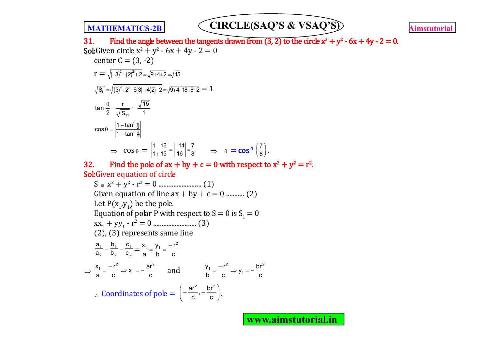

31. Find the angle between the tangents drawn from  $(3, 2)$  to the circle  $x^2 + y^2 - 6x + 4y - 2 = 0$ . **Sol:**Given circle  $x^2 + y^2 - 6x + 4y - 2 = 0$ center  $C = (3, -2)$  $r = \sqrt{(-3)^2 + (2)^2 + 2} = \sqrt{9 + 4 + 2} = \sqrt{15}$  $\overline{S_{11}} = \sqrt{(3)^2 + 2^2 - 6(3) + 4(2) - 2} = \sqrt{9 + 4 - 18 + 8 - 2} = 1$ tan  $\frac{\theta}{\theta} = \frac{r}{\sqrt{r}} = \frac{\sqrt{15}}{4}$ 11 2  $\sqrt{S_{11}}$  1  $\frac{\theta}{2}$   $\frac{\theta}{2}$  $\cos \theta = \left| \frac{1 - \tan \theta}{1 + \tan \theta} \right|$  $\theta$  $\theta$  $\theta = \frac{1}{1}$  $\Rightarrow$   $\cos \theta = \left| \frac{1-15}{1+15} \right| = \left| \frac{-14}{16} \right| = \frac{7}{8}$  $1 + 15$  | 16 | 8  $\frac{-15}{+15} = \frac{-14}{16} = \frac{7}{8}$   $\Rightarrow \theta = \cos^{-1} \left( \frac{7}{8} \right)$  $\left(\frac{7}{8}\right)$ . 32. Find the pole of  $ax + by + c = 0$  with respect to  $x^2 + y^2 = r^2$ .

Sol:Given equation of circle

S x<sup>2</sup> + y<sup>2</sup> - r<sup>2</sup> = 0 .......................... (1) Given equation of line  $ax + by + c = 0$  ............. (2) Let  $P(x_1,y_1)$  be the pole. Equation of polar P with respect to  $S = 0$  is  $S<sub>1</sub> = 0$ xx<sup>1</sup> + yy<sup>1</sup> - r<sup>2</sup> = 0 .......................... (3) (2), (3) represents same line  $\frac{1}{1} = \frac{1}{1} = \frac{1}{1}$ 2  $v_2$   $v_2$  $\frac{a_1}{a_2} = \frac{b_1}{b_2} = \frac{c_1}{c_2} = \frac{x_1}{a} = \frac{y_1}{b} = \frac{-r^2}{c}$ a b c  $=\frac{y_1}{1}=\frac{y_2}{1}$  $\Rightarrow$  $\frac{1}{2} = \frac{-r^2}{2} \Rightarrow x_1 = -\frac{ar^2}{2}$  $\frac{\mathsf{x}_1}{\mathsf{x}_2} = \frac{-\mathsf{r}^2}{\mathsf{x}_3} \Rightarrow \mathsf{x}_4 = -\frac{\mathsf{a}\mathsf{r}}{\mathsf{x}_4}$ a c c c  $\frac{y_1}{b} = \frac{-r^2}{2}$   $\Rightarrow$   $x_1 = -\frac{ar^2}{2}$  and  $\frac{y_1}{b} = \frac{-r^2}{2}$   $\Rightarrow$   $y_1 = -\frac{br^2}{2}$  $y_1 = \frac{-r^2}{r} \Rightarrow y_1 = -\frac{br}{r}$ b c  $C$  c  $=\frac{-r^2}{r^2}\Rightarrow y_1= \therefore$  Coordinates of pole  $=$  $\frac{\text{ar}^2}{2}$ ,  $-\frac{\text{br}^2}{2}$  $\left(-\frac{ar^2}{c},-\frac{br^2}{c}\right)$  $\left(-\frac{c}{c},-\frac{c}{c}\right).$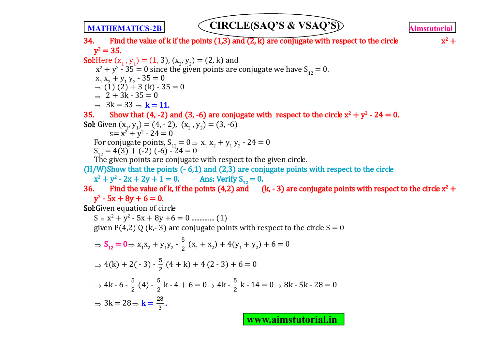$x^2 +$ 

34. Find the value of k if the points  $(1,3)$  and  $(2, k)$  are conjugate with respect to the circle  $y^2 = 35.$ 

**Sol:**Here  $(x_1, y_1) = (1, 3)$ ,  $(x_2, y_2) = (2, k)$  and  $x^{2} + y^{2} - 35 = 0$  since the given points are conjugate we have  $S_{12} = 0$ .  $x_1 x_2 + y_1 y_2 - 35 = 0$  $\Rightarrow$  (1) (2) + 3 (k) - 35 = 0  $\rightarrow$  2 + 3k - 35 = 0  $\rightarrow$  3k = 33  $\rightarrow$  k = 11. 35. Show that (4, -2) and (3, -6) are conjugate with respect to the circle  $x^2 + y^2 - 24 = 0$ . **Sol:** Given  $(x_1, y_1) = (4, -2), (x_2, y_2) = (3, -6)$  $s = x^2 + y^2 - 24 = 0$ For conjugate points,  $S_{12} = 0 \Rightarrow x_1 x_2 + y_1 y_2 - 24 = 0$  $S_{12} = 4(3) + (-2) (-6) - 24 = 0$ The given points are conjugate with respect to the given circle.  $(H/W)$ Show that the points  $(-6,1)$  and  $(2,3)$  are conjugate points with respect to the circle  $x^2 + y^2$ Ans: Verify  $S_{12} = 0$ . 36. Find the value of k, if the points (4,2) and (k, -3) are conjugate points with respect to the circle  $x^2 +$  $y^2$  - 5x + 8y + 6 = 0. Sol:Given equation of circle S x<sup>2</sup> + y<sup>2</sup> - 5x + 8y +6 = 0 .............. (1) given P(4,2) Q (k,-3) are conjugate points with respect to the circle  $S = 0$  $\Rightarrow$  S<sub>12</sub> = 0  $\Rightarrow$  x<sub>1</sub>x<sub>2</sub> + y<sub>1</sub>y<sub>2</sub> -  $\frac{5}{2}$  $\frac{3}{2}(x_1 + x_2) + 4(y_1 + y_2) + 6 = 0$  $\Rightarrow$  4(k) + 2( - 3) -  $\frac{5}{2}$  (4 + k) + 4 (2 - 3) + 6 = 0 ⇒ 4k - 6 -  $\frac{5}{2}$  (4) -  $\frac{5}{2}$  k - 4 + 6 = 0 ⇒ 4k -  $\frac{5}{2}$  k - 14 = 0 ⇒ 8k - 5k - 28 = 0  $\Rightarrow 3k = 28 \Rightarrow k = \frac{28}{3}$ .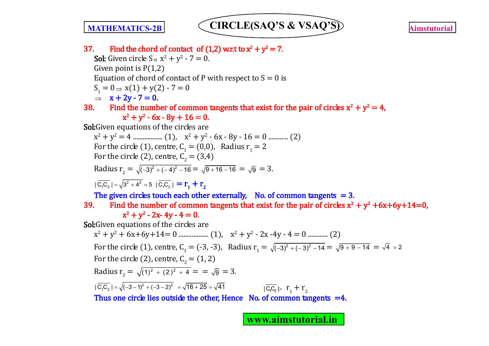



37. Find the chord of contact of  $(1,2)$  w.r.t to  $x^2 + y^2 = 7$ . **Sol:** Given circle  $S = x^2 + y^2 - 7 = 0$ . Given point is  $P(1,2)$ Equation of chord of contact of P with respect to  $S = 0$  is  $S_1 = 0 \Rightarrow x(1) + y(2) - 7 = 0$  $\Rightarrow$  x + 2y - 7 = 0. 38. Find the number of common tangents that exist for the pair of circles  $x^2 + y^2 = 4$ ,  $x^2 + y^2 - 6x - 8y + 16 = 0.$ Sol: Given equations of the circles are x 2 + y<sup>2</sup> = 4 .................. (1), x<sup>2</sup> + y<sup>2</sup> - 6x - 8y - 16 = 0 ............ (2) For the circle (1), centre,  $C_1 = (0,0)$ , Radius  $r_1 = 2$ For the circle (2), centre,  $C_2 = (3,4)$ Radius  $r_2 = \sqrt{(-3)^2 + (-4)^2 - 16} = \sqrt{9 + 16 - 16} = \sqrt{9} = 3.$  $|\overline{C_1C_2}| = \sqrt{3^2 + 4^2} = 5 |\overline{C_1C_2}| = r_1 + r_2$ The given circles touch each other externally, No. of common tangents  $= 3$ . 39. Find the number of common tangents that exist for the pair of circles  $x^2 + y^2 + 6x + 6y + 14 = 0$ ,  $x^2 + y^2 - 2x - 4y - 4 = 0.$ Sol: Given equations of the circles are x 2 + y<sup>2</sup> + 6x+6y+14= 0 .................. (1), x<sup>2</sup> + y<sup>2</sup> - 2x -4y - 4 = 0 ............ (2) For the circle (1), centre,  $C_1 = (-3, -3)$ , Radius  $r_1 = \sqrt{(-3)^2 + (-3)^2 - 14} = \sqrt{9 + 9 - 14} = \sqrt{4} = 2$ For the circle (2), centre,  $C_2 = (1, 2)$ Radius  $r_2 = \sqrt{(1)^2 + (2)^2 + 4} = \sqrt{9} = 3.$  $|C_1C_2| = \sqrt{(-3-1)^2 + (-3-2)^2} = \sqrt{16+25} = \sqrt{41}$  $| \overline{c_{\cdot} c_{\cdot}} |$  r<sub>1</sub> + r<sub>2</sub> Thus one circle lies outside the other, Hence No. of common tangents  $=4$ .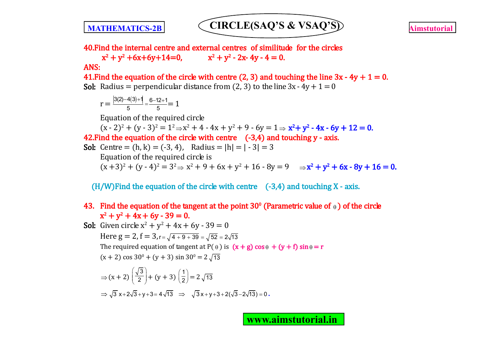

40.Find the internal centre and external centres of similitude for the circles

 $x^2 + y^2 + 6x + 6y + 14 = 0$ ,  $x^2$  $+ y<sup>2</sup> - 2x - 4y - 4 = 0.$ 

### ANS:

41. Find the equation of the circle with centre (2, 3) and touching the line  $3x - 4y + 1 = 0$ . **Sol:** Radius = perpendicular distance from (2, 3) to the line  $3x - 4y + 1 = 0$ 

$$
r = \frac{|3(2)-4(3)+1|}{5} = \frac{6-12+1}{5} = 1
$$

Equation of the required circle

 $(x - 2)^2 + (y - 3)^2 = 1^2 \Rightarrow x^2 + 4 - 4x + y^2 + 9 - 6y = 1 \Rightarrow x^2 + y^2 - 4x - 6y + 12 = 0.$ 

42. Find the equation of the circle with centre  $(-3,4)$  and touching y - axis.

**Sol:** Centre = (h, k) = (-3, 4), Radius = 
$$
|h| = |-3| = 3
$$

\nEquation of the required circle is

\n $(x+3)^2 + (y-4)^2 = 3^2 \Rightarrow x^2 + 9 + 6x + y^2 + 16 - 8y = 9 \Rightarrow x^2 + y^2 + 6x - 8y + 16 = 0.$ 

 $(H/W)$  Find the equation of the circle with centre  $(-3,4)$  and touching X - axis.

### 43. Find the equation of the tangent at the point 30<sup>°</sup> (Parametric value of  $_{\theta}$  ) of the circle  $x^2 + y^2 + 4x + 6y - 39 = 0.$

**Sol:** Given circle  $x^2 + y^2 + 4x + 6y - 39 = 0$ 

Here  $g = 2$ ,  $f = 3$ ,  $r = \sqrt{4 + 9 + 39} = \sqrt{52} = 2\sqrt{13}$ The required equation of tangent at P( $\theta$ ) is  $(x + g) \cos \theta + (y + f) \sin \theta = r$  $(x + 2) \cos 30^\circ + (y + 3) \sin 30^\circ = 2\sqrt{13}$ 

⇒ 
$$
(x + 2)\left(\frac{\sqrt{3}}{2}\right) + (y + 3)\left(\frac{1}{2}\right) = 2\sqrt{13}
$$
  
\n⇒  $\sqrt{3}x+2\sqrt{3}+y+3=4\sqrt{13}$  ⇒  $\sqrt{3}x+y+3+2(\sqrt{3}-2\sqrt{13})=0$ .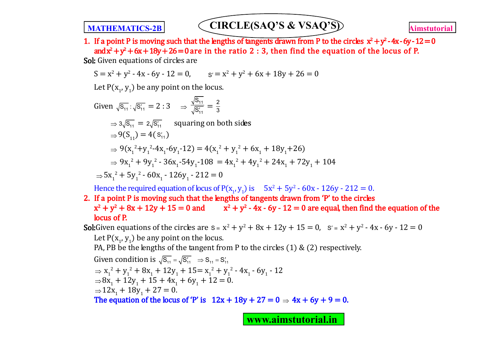1. If a point P is moving such that the lengths of tangents drawn from P to the circles  $x^2 + y^2 - 4x - 6y - 12 = 0$ and $x^2 + y^2 + 6x + 18y + 26 = 0$  are in the ratio 2 : 3, then find the equation of the locus of P.

Sol: Given equations of circles are

$$
S = x2 + y2 - 4x - 6y - 12 = 0, \t s' = x2 + y2 + 6x + 18y + 26 = 0
$$

Let  $P(x_1, y_1)$  be any point on the locus.

Given 
$$
\sqrt{s_{11}} : \sqrt{s_{11}'} = 2 : 3 \implies \frac{\sqrt{s_{11}}}{\sqrt{s_{11}'}} = \frac{2}{3}
$$
  
\n $\implies 3\sqrt{s_{11}} = 2\sqrt{s_{11}'}$  squaring on both sides  
\n $\implies 9(S_{11}) = 4(s_{11}')$   
\n $\implies 9(x_1^2 + y_1^2 - 4x_1 - 6y_1 - 12) = 4(x_1^2 + y_1^2 + 6x_1 + 18y_1 + 26)$   
\n $\implies 9x_1^2 + 9y_1^2 - 36x_1 - 54y_1 - 108 = 4x_1^2 + 4y_1^2 + 24x_1 + 72y_1 + 104$   
\n $\implies 5x_1^2 + 5y_1^2 - 60x_1 - 126y_1 - 212 = 0$ 

Hence the required equation of locus of  $P(x_1, y_1)$  is  $5x^2 + 5y^2 - 60x - 126y - 212 = 0$ .

2. If a point P is moving such that the lengths of tangents drawn from 'P' to the circles  $x^2 + y^2 + 8x + 12y + 15 = 0$  and  $x^2 + y^2 - 4x - 6y - 12 = 0$  are equal, then find the equation of the locus of P.

**Sol:**Given equations of the circles are  $s = x^2 + y^2 + 8x + 12y + 15 = 0$ ,  $s' = x^2 + y^2 - 4x - 6y - 12 = 0$ Let  $P(x_1, y_1)$  be any point on the locus.

PA, PB be the lengths of the tangent from P to the circles  $(1)$  &  $(2)$  respectively.

Given condition is  $\sqrt{S_{11}} = \sqrt{S_{11}} \implies S_{11} = S_{11}$  $\Rightarrow$  x<sub>1</sub><sup>2</sup> + y<sub>1</sub><sup>2</sup> + 8x<sub>1</sub> + 12y<sub>1</sub> + 15= x<sub>1</sub><sup>2</sup> + y<sub>1</sub><sup>2</sup> - 4x<sub>1</sub> - 6y<sub>1</sub> - 12  $\Rightarrow 8x_1 + 12y_1 + 15 + 4x_1 + 6y_1 + 12 = 0.$  $\Rightarrow$  12x<sub>1</sub> + 18y<sub>1</sub> + 27 = 0. The equation of the locus of 'P' is  $12x + 18y + 27 = 0 \Rightarrow 4x + 6y + 9 = 0$ .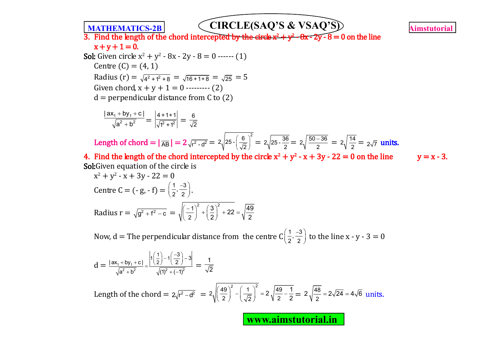3. Find the length of the chord intercepted by the circle  $x^2 + y^2 - 6x - 2y - 8 = 0$  on the line  $x + y + 1 = 0$ . **Sol:** Given circle  $x^2 + y^2 - 8x - 2y - 8 = 0$  ------ (1)

Centre  $(C) = (4, 1)$ Radius (r) =  $\sqrt{4^2 + 1^2 + 8}$  =  $\sqrt{16 + 1 + 8}$  =  $\sqrt{25}$  = 5 Given chord,  $x + y + 1 = 0$  --------- (2)  $d =$  perpendicular distance from C to  $(2)$ 

$$
\frac{|\mathsf{ax}_1 + \mathsf{by}_1 + \mathsf{c}|}{\sqrt{\mathsf{a}^2 + \mathsf{b}^2}} = \left| \frac{4 + 1 + 1}{\sqrt{\mathsf{1}^2 + \mathsf{1}^2}} \right| = \frac{6}{\sqrt{2}}
$$

Length of chord =  $|\overline{AB}| = 2\sqrt{r^2 - d^2} = 2\sqrt{25 - (\frac{6}{\sqrt{2}})^2}$  $\left(\frac{3}{2}\right)^5 = 2\sqrt{25 \cdot \frac{36}{2}} = 2\sqrt{\frac{50 - 36}{2}} = 2\sqrt{\frac{14}{2}} = 2\sqrt{7}$  units.

4. Find the length of the chord intercepted by the circle  $x^2 + y^2 - x + 3y - 22 = 0$  on the line  $y = x - 3$ . Sol: Given equation of the circle is

$$
x^{2} + y^{2} - x + 3y - 22 = 0
$$
  
Centre C = (-g, -f) =  $\left(\frac{1}{2}, \frac{-3}{2}\right)$ .  
Radius r =  $\sqrt{g^{2} + f^{2} - c}$  =  $\sqrt{\left(\frac{-1}{2}\right)^{2} + \left(\frac{3}{2}\right)^{2} + 22} = \sqrt{\frac{49}{2}}$ 

Now, d = The perpendicular distance from the centre  $C\left(\frac{1}{2},\frac{-3}{2}\right)$  $\left(\frac{1}{2}, \frac{-3}{2}\right)$  to the line x - y - 3 = 0

$$
d = \frac{|\mathsf{ax}_{1} + \mathsf{by}_{1} + \mathsf{c}|}{\sqrt{\mathsf{a}^{2} + \mathsf{b}^{2}}} = \frac{\left|1\left(\frac{1}{2}\right) - 1\left(\frac{-3}{2}\right) - 3\right|}{\sqrt{\left(1\right)^{2} + \left(-1\right)^{2}}} = \frac{1}{\sqrt{2}}
$$

Length of the chord =  $2\sqrt{r^2 - d^2}$  =  $2\sqrt{\frac{49}{2}}^2 - \left(\frac{1}{\sqrt{2}}\right)^2 = 2\sqrt{\frac{49}{2}}$ 2  $\sqrt{2}$   $\sqrt{2}$  $2\sqrt{\frac{49}{2}-\frac{1}{2}}$  $\left(\frac{49}{2}\right)^2 - \left(\frac{1}{\sqrt{2}}\right)^2 = 2\sqrt{\frac{49}{2} - \frac{1}{2}} = 2\sqrt{\frac{48}{2}}$  $2\sqrt{\frac{40}{2}} = 2\sqrt{24} = 4\sqrt{6}$  units.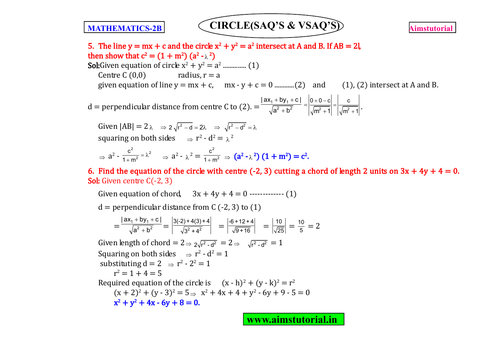

5. The line  $y = mx + c$  and the circle  $x^2 + y^2 = a^2$  intersect at A and B. If AB = 2l, then show that  $c^2 = (1 + m^2) (a^2 - \lambda^2)$ **Sol:**Given equation of circle  $x^2 + y^2 = a^2$  ................ (1) Centre C  $(0,0)$  radius,  $r = a$ given equation of line y = mx + c, mx - y + c = 0 ............(2) and (1), (2) intersect at A and B. d = perpendicular distance from centre C to (2). =  $+$  by<sub>1</sub> +  $^{+}$ 1 Py<sub>1</sub>  $2 + h^2$  $|ax_1+by_1+c|$  $a^2 + b^2$   $|\sqrt{m^2 + 1}| |\sqrt{m^2 + 1}|$  $0+0-c$   $\vert$  c  $|m^2 + 1|$   $|\sqrt{m^2 + 1}|$  $\left| \frac{+0-c}{2} \right| =$  $^{+}$  $=$  $\frac{1}{+1}$  =  $\frac{1}{\sqrt{m^2+1}}$ . Given  $|AB| = 2\lambda \Rightarrow 2\sqrt{r^2 - d} = 2\lambda \Rightarrow \sqrt{r^2 - d^2} = \lambda$ squaring on both sides  $\Rightarrow$  r<sup>2</sup> - d<sup>2</sup> =  $\lambda^2$  $\Rightarrow$  a<sup>2</sup> -2  $\int 2$ 2 c  $1 + m$  $= \lambda$  $\frac{a^2}{a^2 + m^2} = \lambda^2$   $\Rightarrow$   $a^2 - \lambda^2 =$ 2 2  $\frac{c^2}{1+m^2}$   $\Rightarrow$   $(a^2 - \lambda^2) (1+m^2) = c^2$ .

6. Find the equation of the circle with centre (-2, 3) cutting a chord of length 2 units on  $3x + 4y + 4 = 0$ . Sol: Given centre C(-2, 3)

Given equation of chord,  $3x + 4y + 4 = 0$  ------------- (1)

 $d =$  perpendicular distance from C (-2, 3) to (1)

$$
=\frac{|\mathsf{ax}_1 + \mathsf{by}_1 + \mathsf{c}|}{\sqrt{\mathsf{a}^2 + \mathsf{b}^2}} = \left|\frac{3(2+4(3)+4)}{\sqrt{3^2 + 4^2}}\right| = \left|\frac{-6+12+4}{\sqrt{9+16}}\right| = \left|\frac{10}{\sqrt{25}}\right| = \frac{10}{5} = 2
$$

Given length of chord =  $2 \Rightarrow \sqrt{r^2 - d^2} = 2 \Rightarrow \sqrt{r^2 - d^2} = 1$ Squaring on both sides  $\Rightarrow$  r<sup>2</sup> - d<sup>2</sup> = 1 substituting  $d = 2 \Rightarrow r^2 - 2^2 = 1$  $r^2 = 1 + 4 = 5$ Required equation of the circle is  $(x - h)^2 + (y - k)^2 = r^2$  $(x + 2)^2 + (y - 3)^2 = 5 \Rightarrow x^2 + 4x + 4 + y^2 - 6y + 9 - 5 = 0$  $x^2 + y^2 + 4x - 6y + 8 = 0.$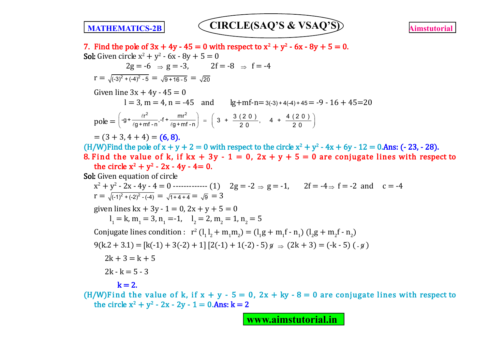

7. Find the pole of  $3x + 4y - 45 = 0$  with respect to  $x^2 + y^2 - 6x - 8y + 5 = 0$ . **Sol:** Given circle  $x^2 + y^2 - 6x - 8y + 5 = 0$  $2g = -6$   $\Rightarrow g = -3$ ,  $2f = -8$   $\Rightarrow f = -4$  $r = \sqrt{(-3)^2 + (-4)^2 - 5} = \sqrt{9 + 16 - 5} = \sqrt{20}$ Given line  $3x + 4y - 45 = 0$  $l = 3$ , m = 4, n = -45 and lg+mf-n=3(-3) + 4(-4) + 45 = -9 - 16 + 45 = 20 pole =  $\left(-g + \frac{\ell r^2}{\ell g + mf - n}, -f + \frac{mr^2}{\ell g + mf - n}\right)$  $-g + \frac{\ell r^2}{\ell g + m f - n}$ ,-f +  $\frac{mr^2}{\ell g + m f - n}$  $= \left( 3 + \frac{3 (2 0)}{2 0}, \quad 4 + \frac{4 (2 0)}{2 0} \right)$  $20$  20  $= (3 + 3, 4 + 4) = (6, 8).$ (H/W)Find the pole of  $x + y + 2 = 0$  with respect to the circle  $x^2 + y^2 - 4x + 6y - 12 = 0$ . Ans: (-23, -28). 8. Find the value of k, if  $kx + 3y - 1 = 0$ ,  $2x + y + 5 = 0$  are conjugate lines with respect to the circle  $x^2 + y^2 - 2x - 4y - 4 = 0$ . Sol: Given equation of circle  $x^2 + y^2$  - 2x - 4y - 4 = 0 ------------- (1) 2g = -2  $\Rightarrow$  g = -1, 2f = -4 $\Rightarrow$  f = -2 and c = -4  $r = \sqrt{(-1)^2 + (-2)^2 - (-4)} = \sqrt{1 + 4 + 4} = \sqrt{9} = 3$ given lines  $kx + 3y - 1 = 0$ ,  $2x + y + 5 = 0$  $l_1 = k$ ,  $m_1 = 3$ ,  $n_1 = -1$ ,  $l_2 = 2$ ,  $m_2 = 1$ ,  $n_2 = 5$ Conjugate lines condition :  $r^2 (l_1 l_2 + m_1 m_2) = (l_1 g + m_1 f - n_1) (l_2 g + m_2 f - n_2)$  $9(k.2 + 3.1) = [k(-1) + 3(-2) + 1][2(-1) + 1(-2) - 5]$   $\alpha \Rightarrow (2k + 3) = (-k - 5)$  ( $\alpha$ )  $2k + 3 = k + 5$  $2k - k = 5 - 3$  $k = 2$ . (H/W)Find the value of k, if  $x + y - 5 = 0$ ,  $2x + ky - 8 = 0$  are conjugate lines with respect to the circle  $x^2 + y^2 - 2x - 2y - 1 = 0$ . Ans:  $k = 2$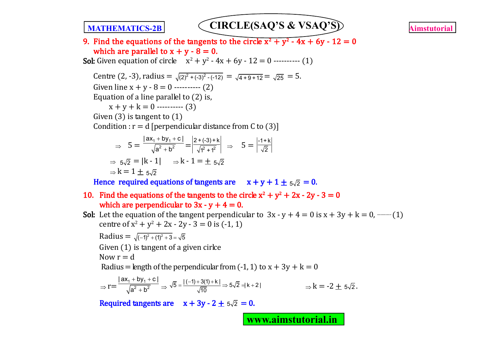9. Find the equations of the tangents to the circle  $x^2 + y^2$  - 4x + 6y - 12 = 0 which are parallel to  $x + y - 8 = 0$ . **Sol:** Given equation of circle  $x^2 + y^2 - 4x + 6y - 12 = 0$  ---------- (1) Centre (2, -3), radius =  $\sqrt{(2)^2 + (-3)^2 - (-12)} = \sqrt{4 + 9 + 12} = \sqrt{25} = 5$ . Given line  $x + y - 8 = 0$  ---------- (2) Equation of a line parallel to (2) is,  $x + y + k = 0$  ---------- (3) Given (3) is tangent to (1) Condition :  $r = d$  [perpendicular distance from C to (3)]  $\Rightarrow$  5 =  $+$  by<sub>1</sub> +  $^{+}$ 1 <sup>1</sup> ⊃y<sub>1</sub>  $2 + h^2$  $|ax_1+by_1+c|$  $\frac{+by_1+c}{a^2+b^2} = \frac{2+(-3)+k}{\sqrt{1^2+1^2}}$  $\frac{-(-3) + k}{1^2 + 1^2}$   $\Rightarrow$   $5 = \frac{-1 + k}{\sqrt{2}}$  $\Rightarrow$  5 $\sqrt{2}$  = |k - 1|  $\Rightarrow$  k - 1 =  $\pm$  5 $\sqrt{2}$  $k = 1 + 5\sqrt{2}$ Hence required equations of tangents are  $x + y + 1 + 5\sqrt{2} = 0$ . 10. Find the equations of the tangents to the circle  $x^2 + y^2 + 2x - 2y - 3 = 0$ which are perpendicular to  $3x - y + 4 = 0$ . **Sol:** Let the equation of the tangent perpendicular to  $3x - y + 4 = 0$  is  $x + 3y + k = 0$ , — (1) centre of  $x^2 + y^2 + 2x - 2y - 3 = 0$  is  $(-1, 1)$ Radius =  $\sqrt{(-1)^2 + (1)^2 + 3} = \sqrt{5}$ Given (1) is tangent of a given cirlce Now  $r = d$ Radius = length of the perpendicular from  $(-1, 1)$  to  $x + 3y + k = 0$  $\Rightarrow$  r=  $+$  by<sub>1</sub> +  $^{+}$  $_1$   $\cdots$   $_{1}$ 2  $h^2$  $\left|$  ax<sub>1</sub> + by<sub>1</sub> + c  $\right|$  $\overline{a^2 + b^2}$   $\Rightarrow$  $\overline{5} = \frac{|(-1) + 3(1) + k|}{\sqrt{10}} \Rightarrow 5\sqrt{2} = |k + 2|$   $\Rightarrow k = -2 \pm 5\sqrt{2}.$ 

Required tangents are  $x + 3y - 2 + 5\sqrt{2} = 0$ .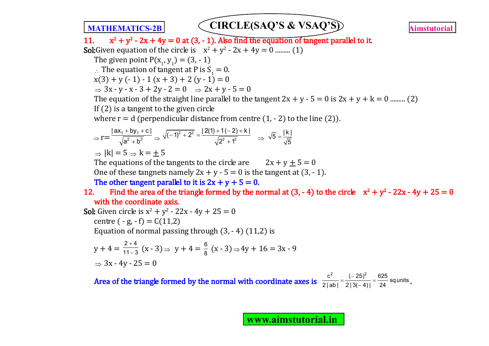**MATHEMATICS-2B** CIRCLE(SAQ'S & VSAQ'S) **Aimstutorial**  $11.$  $2^2 + y^2$  - 2x + 4y = 0 at (3, - 1). Also find the equation of tangent parallel to it. **Sol:**Given equation of the circle is  $x^2 + y^2 - 2x + 4y = 0$  ......... (1) The given point  $P(x_1, y_1) = (3, -1)$  $\therefore$  The equation of tangent at P is S<sub>1</sub> = 0.  $x(3) + y(-1) - 1(x+3) + 2(y-1) = 0$  $\Rightarrow$  3x - y - x - 3 + 2y - 2 = 0  $\Rightarrow$  2x + y - 5 = 0 The equation of the straight line parallel to the tangent  $2x + y - 5 = 0$  is  $2x + y + k = 0$  .......... (2) If (2) is a tangent to the given circle where  $r = d$  (perpendicular distance from centre  $(1, -2)$  to the line  $(2)$ ).  $\Rightarrow$  r=  $+$  by<sub>1</sub> +  $\ddot{}$ 1 1  $2 + h^2$  $|ax_1+by_1+c|$  $\frac{+by_1+cb_1}{a^2+b^2} \Rightarrow \sqrt{(-1)^2+2^2}$  $\sqrt{(-1)^2+2^2}=\frac{|2(1)+1(-2)+k|}{\sqrt{2^2+1^2}}$  $2^2 + 1^2$  $\frac{1}{(1-1)^2+2^2}=\frac{2(1)+1(-2)+1}{(1-1)(2-1)}$  $\frac{-2+K!}{+1^2}$   $\Rightarrow \sqrt{5} = \frac{|k|}{\sqrt{5}}$ 5  $=$  $\Rightarrow$   $|k| = 5 \Rightarrow k = +5$ The equations of the tangents to the circle are  $2x + y + 5 = 0$ One of these tangnets namely  $2x + y - 5 = 0$  is the tangent at  $(3, -1)$ . The other tangent parallel to it is  $2x + y + 5 = 0$ . 12. Find the area of the triangle formed by the normal at  $(3, -4)$  to the circle  $x^2 + y^2 - 22x - 4y + 25 = 0$ with the coordinate axis. **Sol:** Given circle is  $x^2 + y^2 - 22x - 4y + 25 = 0$ centre  $(-g, -f) = C(11,2)$ Equation of normal passing through  $(3, -4)$   $(11,2)$  is  $y + 4 = \frac{2+4}{11-3}$  $11 - 3$  $^{+}$  $\frac{+4}{-3}(x-3) \Rightarrow y+4=\frac{6}{8}(x-3) \Rightarrow 4y+16=3x-9$  $\Rightarrow$  3x - 4y - 25 = 0 **Area of the triangle formed by the normal with coordinate axes is**  $\frac{c^2}{2|\text{ab}|} = \frac{(-25)^2}{213(-4)!} = \frac{625}{24}$  sq.units  $2 |ab|$   $2 |3(-4)|$  24  $=\frac{(-25)^2}{(25-1)^2}$  $\frac{127}{-41} = \frac{328}{24}$  sq.units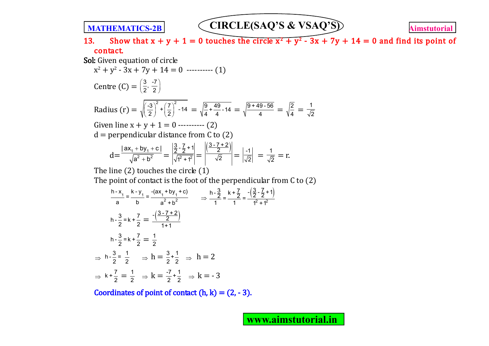13. Show that  $x + y + 1 = 0$  touches the circle  $x^2 + y^2 - 3x + 7y + 14 = 0$  and find its point of contact.

Sol: Given equation of circle

$$
x^{2} + y^{2} - 3x + 7y + 14 = 0
$$
........(1)  
Centre (C) =  $\left(\frac{3}{2}, \frac{-7}{2}\right)$ 

Radius (r) = 
$$
\sqrt{\left(\frac{-3}{2}\right)^2 + \left(\frac{7}{2}\right)^2 - 14} = \sqrt{\frac{9 + 49}{4} - 14} = \sqrt{\frac{9 + 49 - 56}{4}} = \sqrt{\frac{2}{4}} = \frac{1}{\sqrt{2}}
$$

Given line  $x + y + 1 = 0$  ---------- (2)

 $d =$  perpendicular distance from C to (2)

$$
d = \frac{|\mathsf{ax}_1 + \mathsf{by}_1 + \mathsf{c}|}{\sqrt{\mathsf{a}^2 + \mathsf{b}^2}} = \left| \frac{\frac{3}{2} \cdot \frac{7}{2} + 1}{\sqrt{1^2 + 1^2}} \right| = \left| \frac{\frac{3 \cdot 7 + 2}{2}}{\sqrt{2}} \right| = \left| \frac{-1}{\sqrt{2}} \right| = \frac{1}{\sqrt{2}} = r.
$$

The line  $(2)$  touches the circle  $(1)$ 

The point of contact is the foot of the perpendicular from C to (2)

$$
\frac{h - x_1}{a} = \frac{k - y_1}{b} = \frac{-(ax_1 + by_1 + c)}{a^2 + b^2} \qquad \Rightarrow \frac{h - \frac{3}{2}}{1} = \frac{k + \frac{7}{2}}{1} = \frac{-(\frac{3}{2} - \frac{7}{2} + 1)}{1^2 + 1^2}
$$
  
\n
$$
h - \frac{3}{2} = k + \frac{7}{2} = \frac{1}{2}
$$
  
\n
$$
\Rightarrow h - \frac{3}{2} = \frac{1}{2} \qquad \Rightarrow h = \frac{3}{2} + \frac{1}{2} \qquad \Rightarrow h = 2
$$
  
\n
$$
\Rightarrow k + \frac{7}{2} = \frac{1}{2} \qquad \Rightarrow k = \frac{-7}{2} + \frac{1}{2} \qquad \Rightarrow k = -3
$$

Coordinates of point of contact  $(h, k) = (2, -3)$ .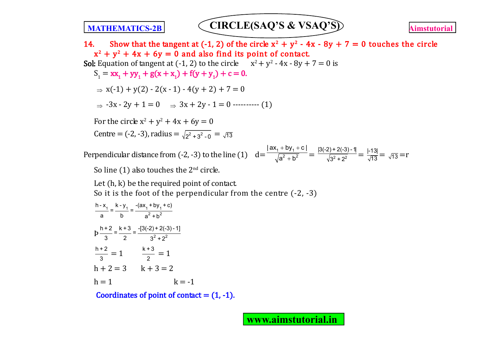14. Show that the tangent at (-1, 2) of the circle  $x^2 + y^2 - 4x - 8y + 7 = 0$  touches the circle  $x^2 + y^2 + 4x + 6y = 0$  and also find its point of contact. **Sol:** Equation of tangent at  $(-1, 2)$  to the circle  $x^2 + y^2 - 4x - 8y + 7 = 0$  is  $S_1 = xx_1 + yy_1 + g(x + x_1) + f(y + y_1) + c = 0.$  $\Rightarrow$  x(-1) + y(2) - 2(x - 1) - 4(y + 2) + 7 = 0  $\Rightarrow$  -3x - 2y + 1 = 0  $\Rightarrow$  3x + 2y - 1 = 0 ---------- (1) For the circle  $x^2 + y^2 + 4x + 6y = 0$ Centre = (-2, -3), radius =  $\sqrt{2^2 + 3^2 - 0} = \sqrt{13}$ Perpendicular distance from  $(-2, -3)$  to the line  $(1)$  d=  $+$  by<sub>1</sub> +  $^{+}$ 1 <sup>1</sup> ⊃y<sub>1</sub>  $2 + h^2$  $|ax_1+by_1+c|$  $\frac{\frac{+}{2} \frac{1}{2} \cdot \frac{1}{2}}{\frac{1}{2} \cdot \frac{1}{2}} = \frac{|3(-2) + 2(-3) - 1|}{\sqrt{3^2 + 2^2}} = \frac{|-13|}{\sqrt{13}} = \sqrt{13} = r$ 

So line (1) also touches the  $2<sup>nd</sup>$  circle.

Let (h, k) be the required point of contact. So it is the foot of the perpendicular from the centre (-2, -3)

$$
\frac{h-x_1}{a} = \frac{k-y_1}{b} = \frac{-(ax_1 + by_1 + c)}{a^2 + b^2}
$$
  
\n
$$
p\frac{h+2}{3} = \frac{k+3}{2} = \frac{-(3(-2) + 2(-3) - 1)}{3^2 + 2^2}
$$
  
\n
$$
\frac{h+2}{3} = 1 \qquad \frac{k+3}{2} = 1
$$
  
\n
$$
h+2 = 3 \qquad k+3 = 2
$$
  
\n
$$
h = 1 \qquad k = -1
$$

Coordinates of point of contact  $= (1, -1)$ .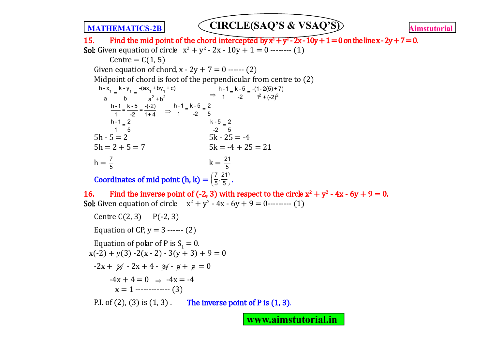15. Find the mid point of the chord intercepted by  $\overline{x^2} + \overline{y^2} - 2x - 10y + 1 = 0$  on the line x - 2y + 7 = 0. **Sol:** Given equation of circle  $x^2 + y^2 - 2x - 10y + 1 = 0$  -------- (1)

 $Centre = C(1, 5)$ Given equation of chord,  $x - 2y + 7 = 0$  ------ (2) Midpoint of chord is foot of the perpendicular from centre to (2)  $\frac{1}{2} = \frac{1}{2} = \frac{1}{2} = \frac{1}{2} = \frac{1}{2} = \frac{1}{2} = \frac{1}{2} = \frac{1}{2} = \frac{1}{2} = \frac{1}{2} = \frac{1}{2} = \frac{1}{2} = \frac{1}{2} = \frac{1}{2} = \frac{1}{2} = \frac{1}{2} = \frac{1}{2} = \frac{1}{2} = \frac{1}{2} = \frac{1}{2} = \frac{1}{2} = \frac{1}{2} = \frac{1}{2} = \frac{1}{2} = \frac{1}{2} = \frac{1}{2} = \frac{1}{2} = \frac{1$  $2 + h^2$ h - x k - y cax + by + c)  $=$   $\frac{1}{2}$  =  $\frac{a}{a} = \frac{b}{b} = \frac{1}{a^2 + b^2}$   $\Rightarrow \frac{1}{1} = \frac{1}{-2} = \frac{1}{1^2 + (-2)^2}$  $\frac{h-1}{1} = \frac{k-5}{-2} = \frac{-(1-2(5)+7)}{1^2 + (-2)^2}$  $\frac{h-1}{1} = \frac{k-5}{-2} = \frac{-(-2)}{1+4}$   $\Rightarrow \frac{h-1}{1} = \frac{k-5}{-2} = \frac{2}{5}$  $\frac{h-1}{1} = \frac{2}{5}$  $\frac{k-5}{-2} = \frac{2}{5}$  $5h - 5 = 2$   $5k - 25 = -4$  $5h = 2 + 5 = 7$   $5k = -4 + 25 = 21$  $h = \frac{7}{5}$  $k = \frac{21}{5}$ **Coordinates of mid point (h, k)** =  $\left(\frac{7}{5}, \frac{21}{5}\right)$ . 16. Find the inverse point of (-2, 3) with respect to the circle  $x^2 + y^2 - 4x - 6y + 9 = 0$ . **Sol:** Given equation of circle  $x^2 + y^2 - 4x - 6y + 9 = 0$ --------- (1) Centre  $C(2, 3)$  P(-2, 3) Equation of CP,  $v = 3$  ------ (2) Equation of polar of P is  $S_1 = 0$ .  $x(-2) + y(3) - 2(x - 2) - 3(y + 3) + 9 = 0$  $-2x + 3y - 2x + 4 - 3y - 9 + 9 = 0$  $-4x + 4 = 0 \rightarrow -4x = -4$  $x = 1$  ------------ (3)

P.I. of (2), (3) is  $(1, 3)$ . The inverse point of P is  $(1, 3)$ .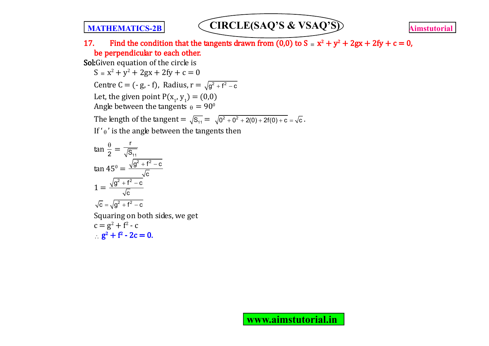17. Find the condition that the tangents drawn from (0,0) to  $S = x^2 + y^2 + 2gx + 2fy + c = 0$ , be perpendicular to each other.

Sol:Given equation of the circle is

 $S = x^2 + y^2 + 2gx + 2fy + c = 0$ 

Centre C = (- g, - f), Radius,  $r = \sqrt{g^2 + f^2 - c}$ 

Let, the given point  $P(x_1, y_1) = (0,0)$ 

Angle between the tangents  $\theta = 90^\circ$ 

The length of the tangent =  $\sqrt{S_{11}} = \sqrt{0^2 + 0^2 + 2(0) + 2f(0) + c} = \sqrt{c}$ .

If  $'_{\theta}$ ' is the angle between the tangents then

$$
\tan \frac{\theta}{2} = \frac{r}{\sqrt{S_{11}}}
$$
  
\n
$$
\tan 45^0 = \frac{\sqrt{g^2 + f^2 - c}}{\sqrt{c}}
$$
  
\n
$$
1 = \frac{\sqrt{g^2 + f^2 - c}}{\sqrt{c}}
$$
  
\n
$$
\sqrt{c} = \sqrt{g^2 + f^2 - c}
$$
  
\nSquaring on both sides, we get  
\n
$$
c = g^2 + f^2 - c
$$
  
\n
$$
g^2 + f^2 - 2c = 0.
$$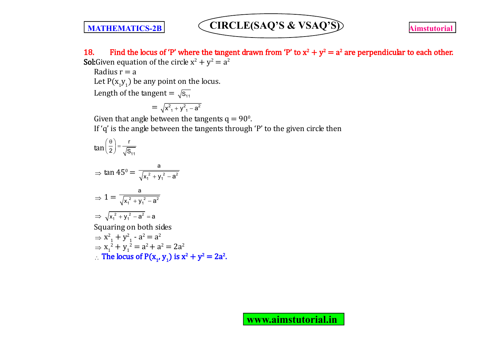18. Find the locus of 'P' where the tangent drawn from 'P' to  $x^2 + y^2 = a^2$  are perpendicular to each other. **Sol:**Given equation of the circle  $x^2 + y^2 = a^2$ 

Radius  $r = a$ 

Let  $P(x_1y_1)$  be any point on the locus.

Length of the tangent =  $\sqrt{s_{11}}$ 

$$
=\sqrt{x_{1}^{2}+y_{1}^{2}-a^{2}}
$$

Given that angle between the tangents  $q = 90^\circ$ .

If 'q' is the angle between the tangents through 'P' to the given circle then

$$
\tan\left(\frac{\theta}{2}\right) = \frac{r}{\sqrt{S_{11}}}
$$
\n
$$
\Rightarrow \tan 45^0 = \frac{a}{\sqrt{x_1^2 + y_1^2 - a^2}}
$$
\n
$$
\Rightarrow 1 = \frac{a}{\sqrt{x_1^2 + y_1^2 - a^2}}
$$
\n
$$
\Rightarrow \sqrt{x_1^2 + y_1^2 - a^2} = a
$$
\nSquaring on both sides\n
$$
\Rightarrow x_1^2 + y_1^2 - a^2 = a^2
$$
\n
$$
\Rightarrow x_1^2 + y_1^2 = a^2 + a^2 = 2a^2
$$
\n
$$
\therefore \text{ The locus of } P(x_1, y_1) \text{ is } x^2 + y^2 = 2a^2.
$$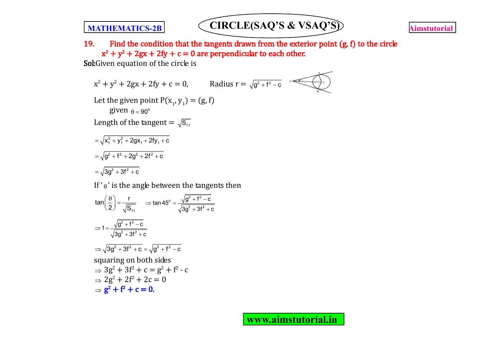19. Find the condition that the tangents drawn from the exterior point  $(g, f)$  to the circle  $x^2 + y^2 + 2gx + 2fy + c = 0$  are perpendicular to each other.

Sol:Given equation of the circle is

$$
x^{2} + y^{2} + 2gx + 2fy + c = 0, \t\t{Radius } r = \sqrt{g^{2} + f^{2} - c}
$$
\nLet the given point P(x<sub>1</sub>, y<sub>1</sub>) = (g, f)\n  
\ngiven  $\theta = 90^{\circ}$   
\nLength of the tangent =  $\sqrt{S_{11}}$   
\n
$$
= \sqrt{x_{1}^{2} + y_{1}^{2} + 2gx_{1} + 2fy_{1} + c}
$$
\n
$$
= \sqrt{g^{2} + f^{2} + 2g^{2} + 2f^{2} + c}
$$
\n
$$
= \sqrt{3}g^{2} + 3f^{2} + c
$$

If ' $\theta$ ' is the angle between the tangents then

$$
\tan\left(\frac{\theta}{2}\right) = \frac{r}{\sqrt{S_{11}}} \Rightarrow \tan 45^\circ = \frac{\sqrt{g^2 + f^2 - c}}{\sqrt{3g^2 + 3f^2 + c}}
$$
  
\n
$$
\Rightarrow 1 = \frac{\sqrt{g^2 + f^2 - c}}{\sqrt{3g^2 + 3f^2 + c}}
$$
  
\n
$$
\Rightarrow \sqrt{3g^2 + 3f^2 + c} = \sqrt{g^2 + f^2 - c}
$$
  
\nsquaring on both sides  
\n
$$
\Rightarrow 3g^2 + 3f^2 + c = g^2 + f^2 - c
$$
  
\n
$$
\Rightarrow 2g^2 + 2f^2 + 2c = 0
$$
  
\n
$$
\Rightarrow g^2 + f^2 + c = 0.
$$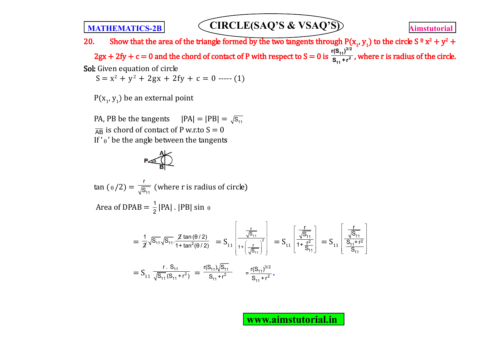20. Show that the area of the triangle formed by the two tangents through  $P(x_1, y_1)$  to the circle S<sup>o</sup> x<sup>2</sup> + y<sup>2</sup> +  $2gx + 2fy + c = 0$  and the chord of contact of P with respect to  $S = 0$  is **3/2 11**  $r^2$  $\frac{r(S_{11})^{3/2}}{S_{11}+r^2}$ , where r is radius of the circle. Sol: Given equation of circle

 $S = x^2 + y^2 + 2gx + 2fy + c = 0$  ----- (1)

 $P(x_1, y_1)$  be an external point

PA, PB be the tangents  $|PA| = |PB| = \sqrt{s_{11}}$  $\overline{AB}$  is chord of contact of P w.r.to  $S = 0$ If ' $\theta$ ' be the angle between the tangents

$$
\mathsf{P}_{\text{eff}}
$$

 $\tan (\frac{}{0} / 2) = \frac{}{\sqrt{ {\mathsf{S}}_{11} }}$ r  $\overline{\overline{\mathsf{S}_{11}}}$  (where r is radius of circle)

Area of DPAB =  $\frac{1}{2}$  |PA| . |PB| sin  $\theta$ 

$$
= \frac{1}{2}\sqrt{s_{11}}\sqrt{s_{11}} \cdot \frac{\cancel{2} \tan(\theta/2)}{1 + \tan^2(\theta/2)} = S_{11} \left[ \frac{\frac{r}{\sqrt{s_{11}}}}{1 + \left(\frac{r}{\sqrt{s_{11}}}\right)^2} \right] = S_{11} \left[ \frac{\frac{r}{\sqrt{s_{11}}}}{1 + \frac{r^2}{\sqrt{s_{11}}}} \right] = S_{11} \left[ \frac{\frac{r}{\sqrt{s_{11}}}}{1 + \frac{r^2}{\sqrt{s_{11}}}} \right] = S_{11} \left[ \frac{\frac{r}{\sqrt{s_{11}}}}{1 + \frac{r^2}{\sqrt{s_{11}}}} \right]
$$

$$
= S_{11} \frac{r}{\sqrt{s_{11}}(s_{11} + r^2)} = \frac{r(s_{11})\sqrt{s_{11}}}{s_{11} + r^2} = \frac{r(s_{11})^{3/2}}{s_{11} + r^2}.
$$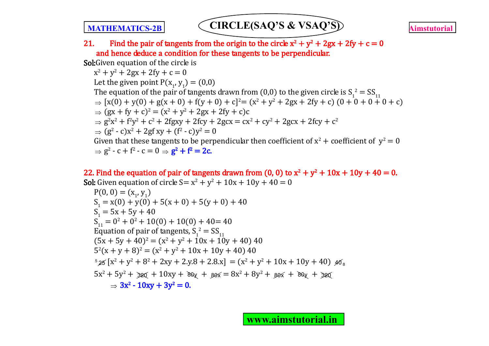21. Find the pair of tangents from the origin to the circle  $x^2 + y^2 + 2gx + 2fy + c = 0$ and hence deduce a condition for these tangents to be perpendicular.

Sol: Given equation of the circle is

 $x^2 + y^2 + 2gx + 2fy + c = 0$ Let the given point  $P(x_1, y_1) = (0,0)$ The equation of the pair of tangents drawn from (0,0) to the given circle is  $S_1^2 = SS_{11}$  $\Rightarrow$   $[x(0) + y(0) + g(x + 0) + f(y + 0) + c]^2 = (x^2 + y^2 + 2gx + 2fy + c)(0 + 0 + 0 + 0 + c)$  $\Rightarrow$   $(gx + fy + c)^2 = (x^2 + y^2 + 2gx + 2fy + c)c$  $\Rightarrow$   $g^2x^2 + f^2y^2 + c^2 + 2fgxy + 2fcy + 2gcx = cx^2 + cy^2 + 2gcx + 2fcy + c^2$  $\Rightarrow$   $(g^2 - c)x^2 + 2gf xy + (f^2 - c)y^2 = 0$ Given that these tangents to be perpendicular then coefficient of  $x^2$  + coefficient of  $y^2 = 0$  $\Rightarrow$  g<sup>2</sup> - c + f<sup>2</sup> - c = 0  $\Rightarrow$  **g<sup>2</sup> + f<sup>2</sup> = 2c.** 

22. Find the equation of pair of tangents drawn from (0, 0) to  $x^2 + y^2 + 10x + 10y + 40 = 0$ . **Sol:** Given equation of circle  $S = x^2 + y^2 + 10x + 10y + 40 = 0$ 

P(0, 0) = (x<sup>1</sup> , y<sup>1</sup> ) S1 = x(0) + y(0) + 5(x + 0) + 5(y + 0) + 40 S1 = 5x + 5y + 40 S11 = 0<sup>2</sup> + 0<sup>2</sup> + 10(0) + 10(0) + 40= 40 Equation of pair of tangents, S<sup>1</sup> 2 = SS<sup>11</sup> (5x + 5y + 40)<sup>2</sup> = (x<sup>2</sup> + y<sup>2</sup> + 10x + 10y + 40) 40 5 2 (x + y + 8)<sup>2</sup> = (x<sup>2</sup> + y<sup>2</sup> + 10x + 10y + 40) 40 5 <sup>25</sup> [x<sup>2</sup> + y<sup>2</sup> + 8<sup>2</sup> + 2xy + 2.y.8 + 2.8.x] = (x<sup>2</sup> + y<sup>2</sup> + 10x + 10y + 40) <sup>40</sup> <sup>8</sup> 5x<sup>2</sup> + 5y<sup>2</sup> + 320 + 10xy + 80y + 80x = 8x<sup>2</sup> + 8y<sup>2</sup> + 80x + 80y + <sup>320</sup> 3x<sup>2</sup> - 10xy + 3y<sup>2</sup> = 0.